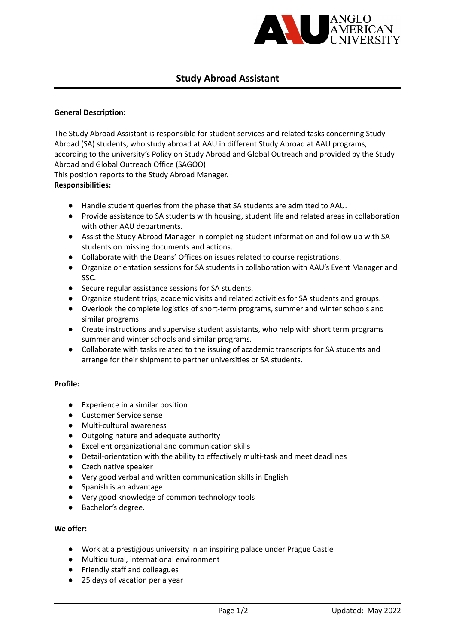

# **Study Abroad Assistant**

## **General Description:**

The Study Abroad Assistant is responsible for student services and related tasks concerning Study Abroad (SA) students, who study abroad at AAU in different Study Abroad at AAU programs, according to the university's Policy on Study Abroad and Global Outreach and provided by the Study Abroad and Global Outreach Office (SAGOO)

This position reports to the Study Abroad Manager.

# **Responsibilities:**

- Handle student queries from the phase that SA students are admitted to AAU.
- Provide assistance to SA students with housing, student life and related areas in collaboration with other AAU departments.
- Assist the Study Abroad Manager in completing student information and follow up with SA students on missing documents and actions.
- Collaborate with the Deans' Offices on issues related to course registrations.
- Organize orientation sessions for SA students in collaboration with AAU's Event Manager and SSC.
- Secure regular assistance sessions for SA students.
- Organize student trips, academic visits and related activities for SA students and groups.
- Overlook the complete logistics of short-term programs, summer and winter schools and similar programs
- Create instructions and supervise student assistants, who help with short term programs summer and winter schools and similar programs.
- Collaborate with tasks related to the issuing of academic transcripts for SA students and arrange for their shipment to partner universities or SA students.

#### **Profile:**

- Experience in a similar position
- Customer Service sense
- Multi-cultural awareness
- Outgoing nature and adequate authority
- Excellent organizational and communication skills
- Detail-orientation with the ability to effectively multi-task and meet deadlines
- Czech native speaker
- Very good verbal and written communication skills in English
- Spanish is an advantage
- Very good knowledge of common technology tools
- Bachelor's degree.

#### **We offer:**

- Work at a prestigious university in an inspiring palace under Prague Castle
- Multicultural, international environment
- Friendly staff and colleagues
- 25 days of vacation per a year